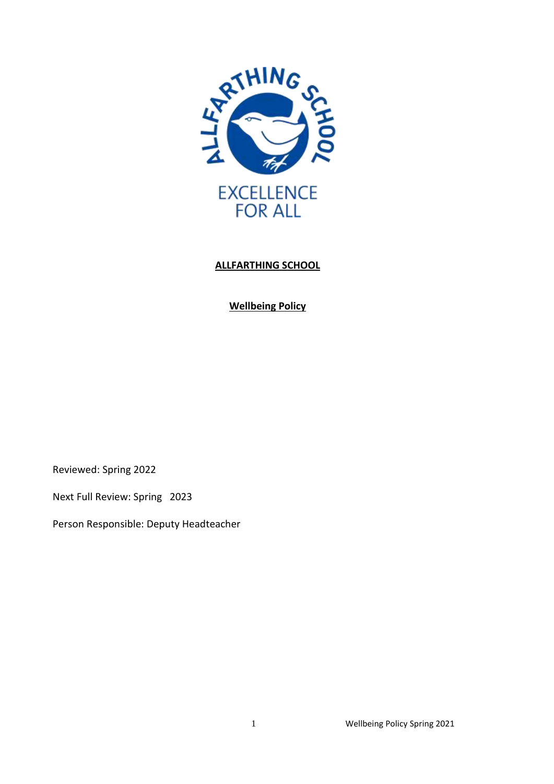

# **ALLFARTHING SCHOOL**

**Wellbeing Policy**

Reviewed: Spring 2022

Next Full Review: Spring 2023

Person Responsible: Deputy Headteacher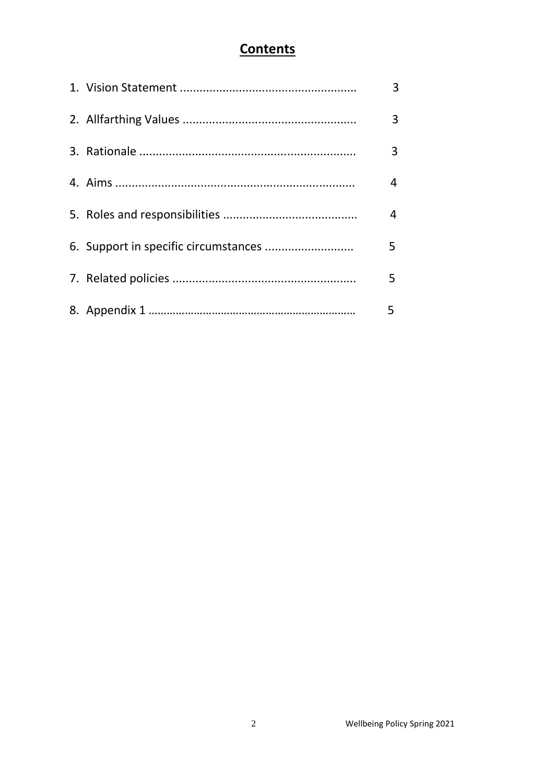# **Contents**

|  | 3 |
|--|---|
|  | 3 |
|  | 3 |
|  | 4 |
|  | 4 |
|  | 5 |
|  | 5 |
|  | 5 |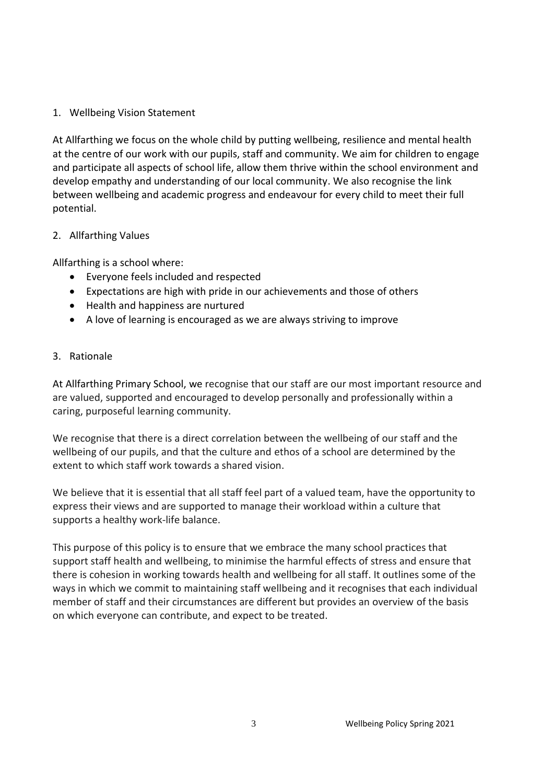# 1. Wellbeing Vision Statement

At Allfarthing we focus on the whole child by putting wellbeing, resilience and mental health at the centre of our work with our pupils, staff and community. We aim for children to engage and participate all aspects of school life, allow them thrive within the school environment and develop empathy and understanding of our local community. We also recognise the link between wellbeing and academic progress and endeavour for every child to meet their full potential.

# 2. Allfarthing Values

Allfarthing is a school where:

- Everyone feels included and respected
- Expectations are high with pride in our achievements and those of others
- Health and happiness are nurtured
- A love of learning is encouraged as we are always striving to improve

#### 3. Rationale

At Allfarthing Primary School, we recognise that our staff are our most important resource and are valued, supported and encouraged to develop personally and professionally within a caring, purposeful learning community.

We recognise that there is a direct correlation between the wellbeing of our staff and the wellbeing of our pupils, and that the culture and ethos of a school are determined by the extent to which staff work towards a shared vision.

We believe that it is essential that all staff feel part of a valued team, have the opportunity to express their views and are supported to manage their workload within a culture that supports a healthy work-life balance.

This purpose of this policy is to ensure that we embrace the many school practices that support staff health and wellbeing, to minimise the harmful effects of stress and ensure that there is cohesion in working towards health and wellbeing for all staff. It outlines some of the ways in which we commit to maintaining staff wellbeing and it recognises that each individual member of staff and their circumstances are different but provides an overview of the basis on which everyone can contribute, and expect to be treated.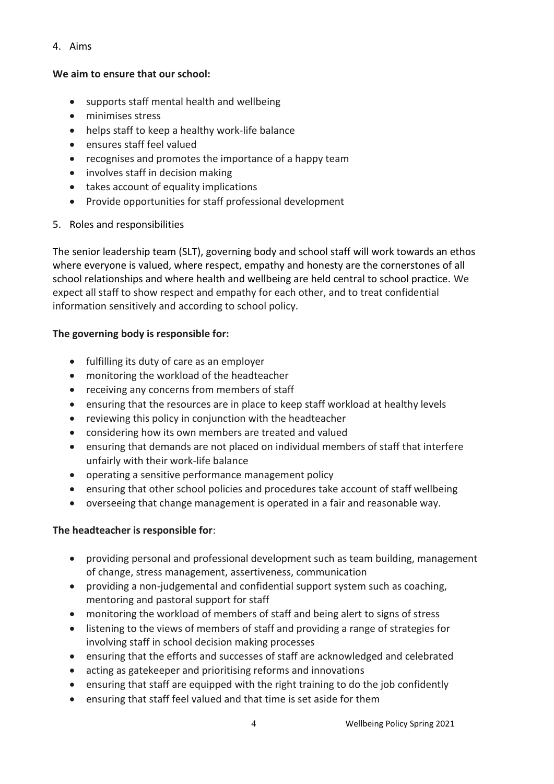4. Aims

### **We aim to ensure that our school:**

- supports staff mental health and wellbeing
- minimises stress
- helps staff to keep a healthy work-life balance
- ensures staff feel valued
- recognises and promotes the importance of a happy team
- involves staff in decision making
- takes account of equality implications
- Provide opportunities for staff professional development
- 5. Roles and responsibilities

The senior leadership team (SLT), governing body and school staff will work towards an ethos where everyone is valued, where respect, empathy and honesty are the cornerstones of all school relationships and where health and wellbeing are held central to school practice. We expect all staff to show respect and empathy for each other, and to treat confidential information sensitively and according to school policy.

# **The governing body is responsible for:**

- fulfilling its duty of care as an employer
- monitoring the workload of the headteacher
- receiving any concerns from members of staff
- ensuring that the resources are in place to keep staff workload at healthy levels
- reviewing this policy in conjunction with the headteacher
- considering how its own members are treated and valued
- ensuring that demands are not placed on individual members of staff that interfere unfairly with their work-life balance
- operating a sensitive performance management policy
- ensuring that other school policies and procedures take account of staff wellbeing
- overseeing that change management is operated in a fair and reasonable way.

# **The headteacher is responsible for**:

- providing personal and professional development such as team building, management of change, stress management, assertiveness, communication
- providing a non-judgemental and confidential support system such as coaching, mentoring and pastoral support for staff
- monitoring the workload of members of staff and being alert to signs of stress
- listening to the views of members of staff and providing a range of strategies for involving staff in school decision making processes
- ensuring that the efforts and successes of staff are acknowledged and celebrated
- acting as gatekeeper and prioritising reforms and innovations
- ensuring that staff are equipped with the right training to do the job confidently
- ensuring that staff feel valued and that time is set aside for them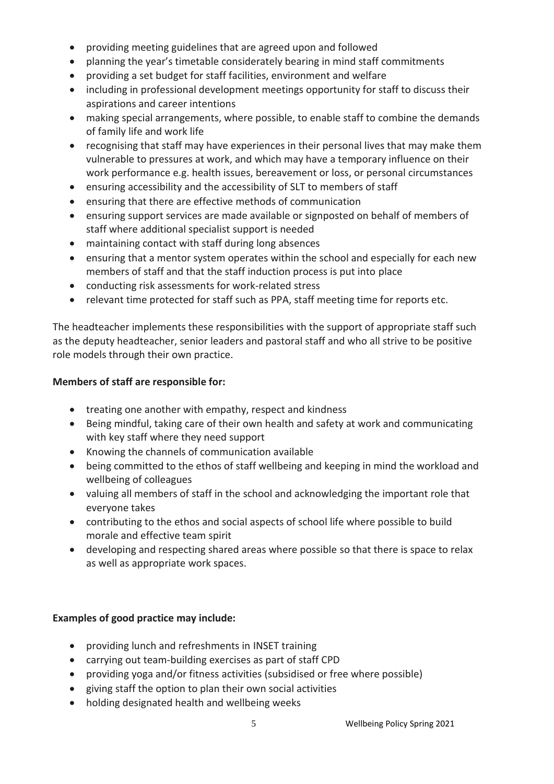- providing meeting guidelines that are agreed upon and followed
- planning the year's timetable considerately bearing in mind staff commitments
- providing a set budget for staff facilities, environment and welfare
- including in professional development meetings opportunity for staff to discuss their aspirations and career intentions
- making special arrangements, where possible, to enable staff to combine the demands of family life and work life
- recognising that staff may have experiences in their personal lives that may make them vulnerable to pressures at work, and which may have a temporary influence on their work performance e.g. health issues, bereavement or loss, or personal circumstances
- ensuring accessibility and the accessibility of SLT to members of staff
- ensuring that there are effective methods of communication
- ensuring support services are made available or signposted on behalf of members of staff where additional specialist support is needed
- maintaining contact with staff during long absences
- ensuring that a mentor system operates within the school and especially for each new members of staff and that the staff induction process is put into place
- conducting risk assessments for work-related stress
- relevant time protected for staff such as PPA, staff meeting time for reports etc.

The headteacher implements these responsibilities with the support of appropriate staff such as the deputy headteacher, senior leaders and pastoral staff and who all strive to be positive role models through their own practice.

# **Members of staff are responsible for:**

- treating one another with empathy, respect and kindness
- Being mindful, taking care of their own health and safety at work and communicating with key staff where they need support
- Knowing the channels of communication available
- being committed to the ethos of staff wellbeing and keeping in mind the workload and wellbeing of colleagues
- valuing all members of staff in the school and acknowledging the important role that everyone takes
- contributing to the ethos and social aspects of school life where possible to build morale and effective team spirit
- developing and respecting shared areas where possible so that there is space to relax as well as appropriate work spaces.

# **Examples of good practice may include:**

- providing lunch and refreshments in INSET training
- carrying out team-building exercises as part of staff CPD
- providing yoga and/or fitness activities (subsidised or free where possible)
- giving staff the option to plan their own social activities
- holding designated health and wellbeing weeks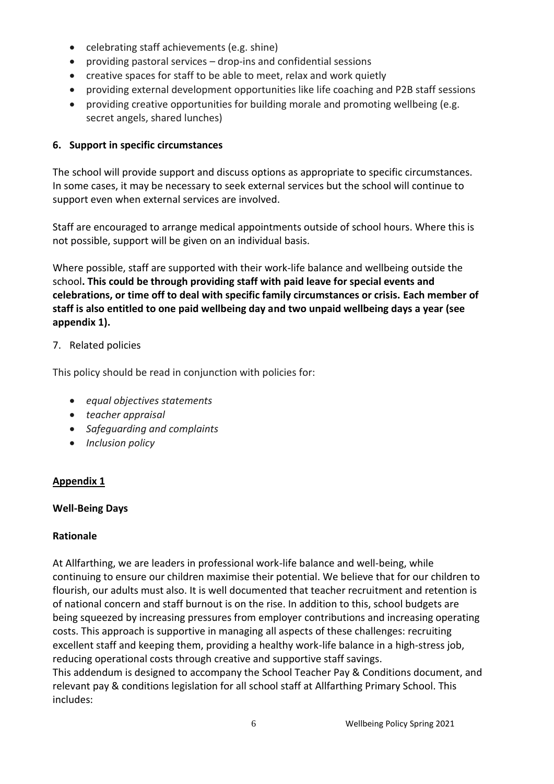- celebrating staff achievements (e.g. shine)
- providing pastoral services drop-ins and confidential sessions
- creative spaces for staff to be able to meet, relax and work quietly
- providing external development opportunities like life coaching and P2B staff sessions
- providing creative opportunities for building morale and promoting wellbeing (e.g. secret angels, shared lunches)

# **6. Support in specific circumstances**

The school will provide support and discuss options as appropriate to specific circumstances. In some cases, it may be necessary to seek external services but the school will continue to support even when external services are involved.

Staff are encouraged to arrange medical appointments outside of school hours. Where this is not possible, support will be given on an individual basis.

Where possible, staff are supported with their work-life balance and wellbeing outside the school**. This could be through providing staff with paid leave for special events and celebrations, or time off to deal with specific family circumstances or crisis. Each member of staff is also entitled to one paid wellbeing day and two unpaid wellbeing days a year (see appendix 1).** 

# 7. Related policies

This policy should be read in conjunction with policies for:

- *equal objectives statements*
- *teacher appraisal*
- *Safeguarding and complaints*
- *Inclusion policy*

# **Appendix 1**

# **Well-Being Days**

# **Rationale**

At Allfarthing, we are leaders in professional work-life balance and well-being, while continuing to ensure our children maximise their potential. We believe that for our children to flourish, our adults must also. It is well documented that teacher recruitment and retention is of national concern and staff burnout is on the rise. In addition to this, school budgets are being squeezed by increasing pressures from employer contributions and increasing operating costs. This approach is supportive in managing all aspects of these challenges: recruiting excellent staff and keeping them, providing a healthy work-life balance in a high-stress job, reducing operational costs through creative and supportive staff savings. This addendum is designed to accompany the School Teacher Pay & Conditions document, and

relevant pay & conditions legislation for all school staff at Allfarthing Primary School. This includes: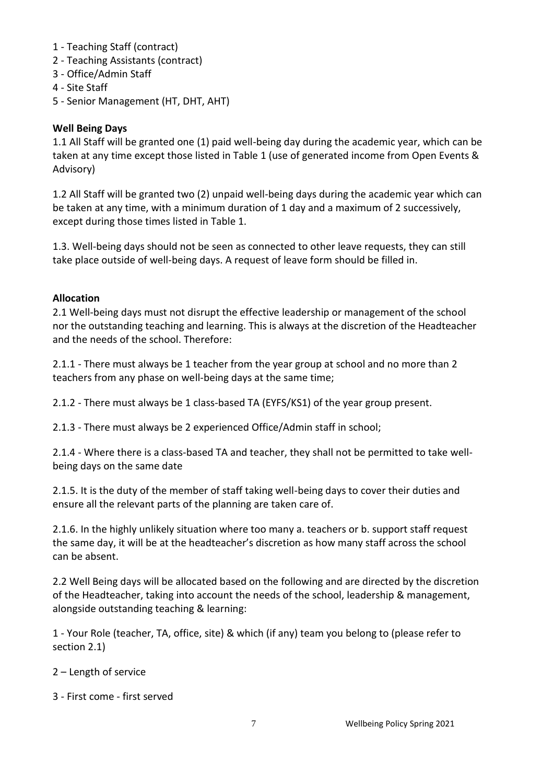- 1 Teaching Staff (contract)
- 2 Teaching Assistants (contract)
- 3 Office/Admin Staff
- 4 Site Staff
- 5 Senior Management (HT, DHT, AHT)

# **Well Being Days**

1.1 All Staff will be granted one (1) paid well-being day during the academic year, which can be taken at any time except those listed in Table 1 (use of generated income from Open Events & Advisory)

1.2 All Staff will be granted two (2) unpaid well-being days during the academic year which can be taken at any time, with a minimum duration of 1 day and a maximum of 2 successively, except during those times listed in Table 1.

1.3. Well-being days should not be seen as connected to other leave requests, they can still take place outside of well-being days. A request of leave form should be filled in.

# **Allocation**

2.1 Well-being days must not disrupt the effective leadership or management of the school nor the outstanding teaching and learning. This is always at the discretion of the Headteacher and the needs of the school. Therefore:

2.1.1 - There must always be 1 teacher from the year group at school and no more than 2 teachers from any phase on well-being days at the same time;

2.1.2 - There must always be 1 class-based TA (EYFS/KS1) of the year group present.

2.1.3 - There must always be 2 experienced Office/Admin staff in school;

2.1.4 - Where there is a class-based TA and teacher, they shall not be permitted to take wellbeing days on the same date

2.1.5. It is the duty of the member of staff taking well-being days to cover their duties and ensure all the relevant parts of the planning are taken care of.

2.1.6. In the highly unlikely situation where too many a. teachers or b. support staff request the same day, it will be at the headteacher's discretion as how many staff across the school can be absent.

2.2 Well Being days will be allocated based on the following and are directed by the discretion of the Headteacher, taking into account the needs of the school, leadership & management, alongside outstanding teaching & learning:

1 - Your Role (teacher, TA, office, site) & which (if any) team you belong to (please refer to section 2.1)

- 2 Length of service
- 3 First come first served